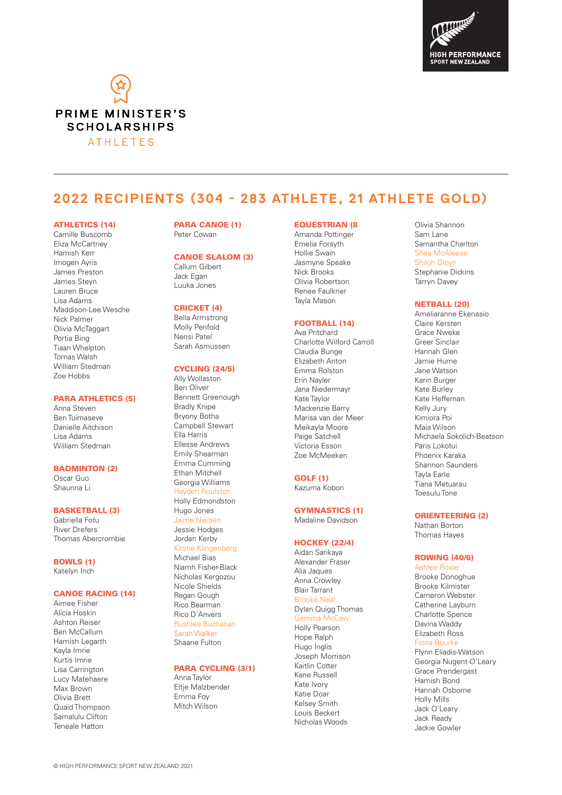



# **2022 RECIPIENTS (304 - 283 ATHLETE, 21 ATHLETE GOLD)**

#### ATHLETICS (14)

Camille Buscomb Eliza McCartney Hamish Kerr Imogen Ayris James Preston James Steyn Lauren Bruce Lisa Adams Maddison-Lee Wesche Nick Palmer Olivia McTaggart Portia Bing Tiaan Whelpton Tomas Walsh William Stedman Zoe Hobbs

# PARA ATHLETICS (5)

Anna Steven Ben Tuimaseve Danielle Aitchison Lisa Adams William Stedman

### BADMINTON (2)

Oscar Guo Shaunna Li

### BASKETBALL (3)

Gabriella Fotu River Drefers Thomas Abercrombie

BOWLS (1)

Katelyn Inch

# CANOE RACING (14)

Aimee Fisher Alicia Hoskin Ashton Reiser Ben McCallum Hamish Legarth Kayla Imrie Kurtis Imrie Lisa Carrington Lucy Matehaere Max Brown Olivia Brett Quaid Thompson Samalulu Clifton Teneale Hatton

#### PARA CANOE (1) Peter Cowan

#### CANOE SLALOM (3)

Callum Gilbert Jack Egan Luuka Jones

# CRICKET (4)

Bella Armstrong Molly Penfold Nensi Patel Sarah Asmussen

## CYCLING (24/5)

Ally Wollaston Ben Oliver Bennett Greenough Bradly Knipe Bryony Botha Campbell Stewart Ella Harris Ellesse Andrews Emily Shearman Emma Cumming Ethan Mitchell Georgia Williams Hayden Roulston Holly Edmondston Hugo Jones Jaime Nielsen Jessie Hodges Jordan Kerby Kirstie Klingenberg Michael Bias Niamh Fisher-Black Nicholas Kergozou Nicole Shields Regan Gough Rico Bearman Rico D'Anvers Rushlee Buchanan Sarah Walker Shaane Fulton

# PARA CYCLING (3/1)

Anna Taylor Eltje Malzbender Emma Foy Mitch Wilson

### EQUESTRIAN (8

Amanda Pottinger Emelia Forsyth Hollie Swain Jasmyne Speake Nick Brooks Olivia Robertson Renee Faulkner Tayla Mason

#### FOOTBALL (14)

Ava Pritchard Charlotte Wilford Carroll Claudia Bunge Elizabeth Anton Emma Rolston Erin Nayler Jana Niedermayr Kate Taylor Mackenzie Barry Marisa van der Meer Meikayla Moore Paige Satchell Victoria Esson Zoe McMeeken

#### GOLF (1)

Kazuma Kobori

## GYMNASTICS (1)

Madaline Davidson

#### HOCKEY (22/4)

Aidan Sarikaya Alexander Fraser Alia Jaques Anna Crowley Blair Tarrant Brooke Neal Dylan Quigg Thomas Gemma McCaw

Holly Pearson Hope Ralph Hugo Inglis Joseph Morrison Kaitlin Cotter Kane Russell Kate Ivory Katie Doar Kelsey Smith Louis Beckert Nicholas Woods

Olivia Shannon Sam Lane Samantha Charlton Shea McAleese Shiloh Gloyn Stephanie Dickins Tarryn Davey

### NETBALL (20)

Ameliaranne Ekenasio Claire Kersten Grace Nweke Greer Sinclair Hannah Glen Jamie Hume Jane Watson Karin Burger Kate Burley Kate Heffernan Kelly Jury Kimiora Poi Maia Wilson Michaela Sokolich-Beatson Paris Lokotui Phoenix Karaka Shannon Saunders Tayla Earle Tiana Metuarau Toesulu Tone

#### ORIENTEERING (2)

Nathan Borton Thomas Hayes

# ROWING (40/6)

Ashlee Rowe Brooke Donoghue Brooke Kilmister Cameron Webster Catherine Layburn Charlotte Spence Davina Waddy Elizabeth Ross Fiona Bourke Flynn Eliadis-Watson Georgia Nugent-O'Leary Grace Prendergast Hamish Bond Hannah Osborne Holly Mills Jack O'Leary Jack Ready Jackie Gowler